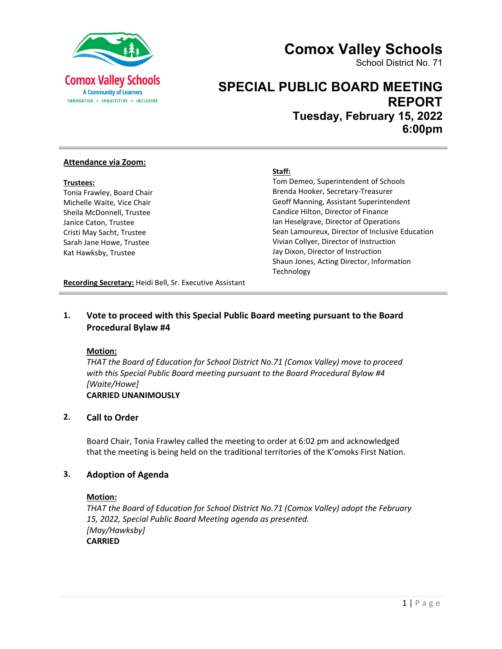



School District No. 71

# **SPECIAL PUBLIC BOARD MEETING REPORT**

**Tuesday, February 15, 2022 6:00pm**

#### **Attendance via Zoom:**

#### **Trustees:**

Tonia Frawley, Board Chair Michelle Waite, Vice Chair Sheila McDonnell, Trustee Janice Caton, Trustee Cristi May Sacht, Trustee Sarah Jane Howe, Trustee Kat Hawksby, Trustee

#### **Staff:**

Tom Demeo, Superintendent of Schools Brenda Hooker, Secretary-Treasurer Geoff Manning, Assistant Superintendent Candice Hilton, Director of Finance Ian Heselgrave, Director of Operations Sean Lamoureux, Director of Inclusive Education Vivian Collyer, Director of Instruction Jay Dixon, Director of Instruction Shaun Jones, Acting Director, Information **Technology** 

**Recording Secretary:** Heidi Bell, Sr. Executive Assistant

## **1. Vote to proceed with this Special Public Board meeting pursuant to the Board Procedural Bylaw #4**

#### **Motion:**

*THAT the Board of Education for School District No.71 (Comox Valley) move to proceed with this Special Public Board meeting pursuant to the Board Procedural Bylaw #4 [Waite/Howe]* **CARRIED UNANIMOUSLY**

## **2. Call to Order**

Board Chair, Tonia Frawley called the meeting to order at 6:02 pm and acknowledged that the meeting is being held on the traditional territories of the K'omoks First Nation.

#### **3. Adoption of Agenda**

#### **Motion:**

*THAT the Board of Education for School District No.71 (Comox Valley) adopt the February 15, 2022, Special Public Board Meeting agenda as presented. [May/Hawksby]* **CARRIED**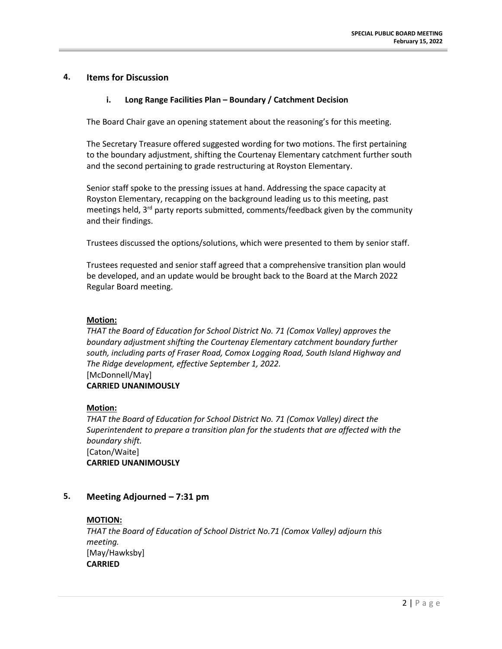## **4. Items for Discussion**

## **i. Long Range Facilities Plan – Boundary / Catchment Decision**

The Board Chair gave an opening statement about the reasoning's for this meeting.

The Secretary Treasure offered suggested wording for two motions. The first pertaining to the boundary adjustment, shifting the Courtenay Elementary catchment further south and the second pertaining to grade restructuring at Royston Elementary.

Senior staff spoke to the pressing issues at hand. Addressing the space capacity at Royston Elementary, recapping on the background leading us to this meeting, past meetings held, 3<sup>rd</sup> party reports submitted, comments/feedback given by the community and their findings.

Trustees discussed the options/solutions, which were presented to them by senior staff.

Trustees requested and senior staff agreed that a comprehensive transition plan would be developed, and an update would be brought back to the Board at the March 2022 Regular Board meeting.

#### **Motion:**

*THAT the Board of Education for School District No. 71 (Comox Valley) approves the boundary adjustment shifting the Courtenay Elementary catchment boundary further south, including parts of Fraser Road, Comox Logging Road, South Island Highway and The Ridge development, effective September 1, 2022.* [McDonnell/May] **CARRIED UNANIMOUSLY**

#### **Motion:**

*THAT the Board of Education for School District No. 71 (Comox Valley) direct the Superintendent to prepare a transition plan for the students that are affected with the boundary shift.* [Caton/Waite] **CARRIED UNANIMOUSLY**

## **5. Meeting Adjourned – 7:31 pm**

## **MOTION:**

*THAT the Board of Education of School District No.71 (Comox Valley) adjourn this meeting.*  [May/Hawksby] **CARRIED**